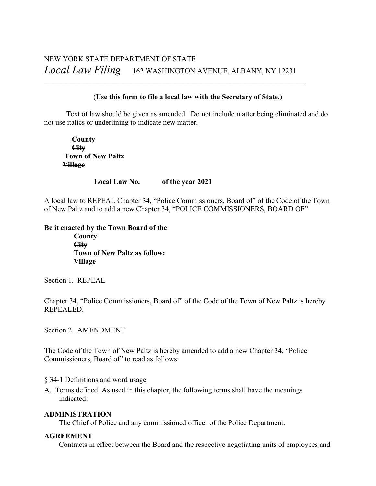\_\_\_\_\_\_\_\_\_\_\_\_\_\_\_\_\_\_\_\_\_\_\_\_\_\_\_\_\_\_\_\_\_\_\_\_\_\_\_\_\_\_\_\_\_\_\_\_\_\_\_\_\_\_\_\_\_\_\_\_\_\_\_\_\_\_\_\_\_\_\_

## (**Use this form to file a local law with the Secretary of State.)**

Text of law should be given as amended. Do not include matter being eliminated and do not use italics or underlining to indicate new matter.

 **County City Town of New Paltz Village**

#### **Local Law No. of the year 2021**

A local law to REPEAL Chapter 34, "Police Commissioners, Board of" of the Code of the Town of New Paltz and to add a new Chapter 34, "POLICE COMMISSIONERS, BOARD OF"

## **Be it enacted by the Town Board of the County**

 **City Town of New Paltz as follow: Village**

Section 1. REPEAL

Chapter 34, "Police Commissioners, Board of" of the Code of the Town of New Paltz is hereby REPEALED.

Section 2. AMENDMENT

The Code of the Town of New Paltz is hereby amended to add a new Chapter 34, "Police Commissioners, Board of" to read as follows:

§ 34-1 Definitions and word usage.

A. Terms defined. As used in this chapter, the following terms shall have the meanings indicated:

#### **ADMINISTRATION**

The Chief of Police and any commissioned officer of the Police Department.

## **AGREEMENT**

Contracts in effect between the Board and the respective negotiating units of employees and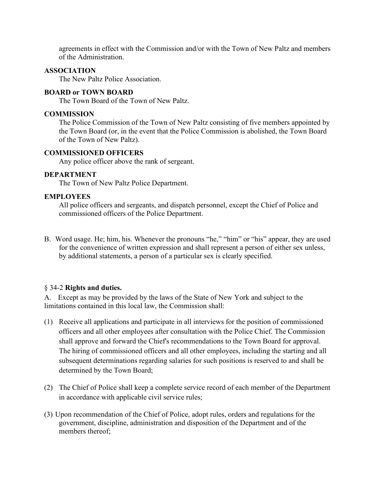agreements in effect with the Commission and/or with the Town of New Paltz and members of the Administration.

#### **ASSOCIATION**

The New Paltz Police Association.

## **BOARD or TOWN BOARD**

The Town Board of the Town of New Paltz.

## **COMMISSION**

The Police Commission of the Town of New Paltz consisting of five members appointed by the Town Board (or, in the event that the Police Commission is abolished, the Town Board of the Town of New Paltz).

#### **COMMISSIONED OFFICERS**

Any police officer above the rank of sergeant.

### **DEPARTMENT**

The Town of New Paltz Police Department.

### **EMPLOYEES**

All police officers and sergeants, and dispatch personnel, except the Chief of Police and commissioned officers of the Police Department.

B. Word usage. He; him, his. Whenever the pronouns "he," "him" or "his" appear, they are used for the convenience of written expression and shall represent a person of either sex unless, by additional statements, a person of a particular sex is clearly specified.

## § 34-2 **Rights and duties.**

A. Except as may be provided by the laws of the State of New York and subject to the limitations contained in this local law, the Commission shall:

- (1) Receive all applications and participate in all interviews for the position of commissioned officers and all other employees after consultation with the Police Chief. The Commission shall approve and forward the Chief's recommendations to the Town Board for approval. The hiring of commissioned officers and all other employees, including the starting and all subsequent determinations regarding salaries for such positions is reserved to and shall be determined by the Town Board;
- (2) The Chief of Police shall keep a complete service record of each member of the Department in accordance with applicable civil service rules;
- (3) Upon recommendation of the Chief of Police, adopt rules, orders and regulations for the government, discipline, administration and disposition of the Department and of the members thereof;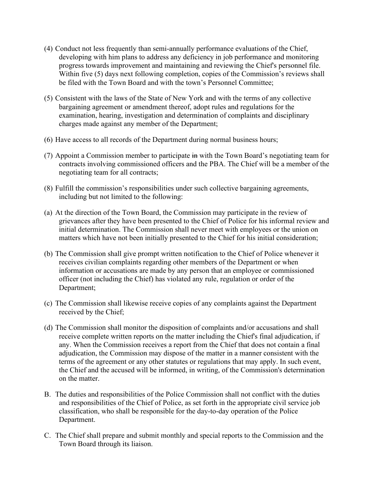- (4) Conduct not less frequently than semi-annually performance evaluations of the Chief, developing with him plans to address any deficiency in job performance and monitoring progress towards improvement and maintaining and reviewing the Chief's personnel file. Within five (5) days next following completion, copies of the Commission's reviews shall be filed with the Town Board and with the town's Personnel Committee;
- (5) Consistent with the laws of the State of New York and with the terms of any collective bargaining agreement or amendment thereof, adopt rules and regulations for the examination, hearing, investigation and determination of complaints and disciplinary charges made against any member of the Department;
- (6) Have access to all records of the Department during normal business hours;
- (7) Appoint a Commission member to participate in with the Town Board's negotiating team for contracts involving commissioned officers and the PBA. The Chief will be a member of the negotiating team for all contracts;
- (8) Fulfill the commission's responsibilities under such collective bargaining agreements, including but not limited to the following:
- (a) At the direction of the Town Board, the Commission may participate in the review of grievances after they have been presented to the Chief of Police for his informal review and initial determination. The Commission shall never meet with employees or the union on matters which have not been initially presented to the Chief for his initial consideration;
- (b) The Commission shall give prompt written notification to the Chief of Police whenever it receives civilian complaints regarding other members of the Department or when information or accusations are made by any person that an employee or commissioned officer (not including the Chief) has violated any rule, regulation or order of the Department;
- (c) The Commission shall likewise receive copies of any complaints against the Department received by the Chief;
- (d) The Commission shall monitor the disposition of complaints and/or accusations and shall receive complete written reports on the matter including the Chief's final adjudication, if any. When the Commission receives a report from the Chief that does not contain a final adjudication, the Commission may dispose of the matter in a manner consistent with the terms of the agreement or any other statutes or regulations that may apply. In such event, the Chief and the accused will be informed, in writing, of the Commission's determination on the matter.
- B. The duties and responsibilities of the Police Commission shall not conflict with the duties and responsibilities of the Chief of Police, as set forth in the appropriate civil service job classification, who shall be responsible for the day-to-day operation of the Police Department.
- C. The Chief shall prepare and submit monthly and special reports to the Commission and the Town Board through its liaison.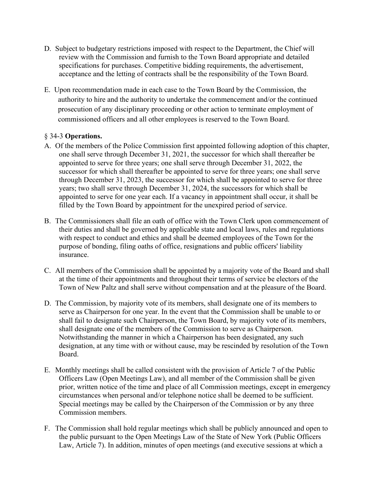- D. Subject to budgetary restrictions imposed with respect to the Department, the Chief will review with the Commission and furnish to the Town Board appropriate and detailed specifications for purchases. Competitive bidding requirements, the advertisement, acceptance and the letting of contracts shall be the responsibility of the Town Board.
- E. Upon recommendation made in each case to the Town Board by the Commission, the authority to hire and the authority to undertake the commencement and/or the continued prosecution of any disciplinary proceeding or other action to terminate employment of commissioned officers and all other employees is reserved to the Town Board.

# § 34-3 **Operations.**

- A. Of the members of the Police Commission first appointed following adoption of this chapter, one shall serve through December 31, 2021, the successor for which shall thereafter be appointed to serve for three years; one shall serve through December 31, 2022, the successor for which shall thereafter be appointed to serve for three years; one shall serve through December 31, 2023, the successor for which shall be appointed to serve for three years; two shall serve through December 31, 2024, the successors for which shall be appointed to serve for one year each. If a vacancy in appointment shall occur, it shall be filled by the Town Board by appointment for the unexpired period of service.
- B. The Commissioners shall file an oath of office with the Town Clerk upon commencement of their duties and shall be governed by applicable state and local laws, rules and regulations with respect to conduct and ethics and shall be deemed employees of the Town for the purpose of bonding, filing oaths of office, resignations and public officers' liability insurance.
- C. All members of the Commission shall be appointed by a majority vote of the Board and shall at the time of their appointments and throughout their terms of service be electors of the Town of New Paltz and shall serve without compensation and at the pleasure of the Board.
- D. The Commission, by majority vote of its members, shall designate one of its members to serve as Chairperson for one year. In the event that the Commission shall be unable to or shall fail to designate such Chairperson, the Town Board, by majority vote of its members, shall designate one of the members of the Commission to serve as Chairperson. Notwithstanding the manner in which a Chairperson has been designated, any such designation, at any time with or without cause, may be rescinded by resolution of the Town Board.
- E. Monthly meetings shall be called consistent with the provision of Article 7 of the Public Officers Law (Open Meetings Law), and all member of the Commission shall be given prior, written notice of the time and place of all Commission meetings, except in emergency circumstances when personal and/or telephone notice shall be deemed to be sufficient. Special meetings may be called by the Chairperson of the Commission or by any three Commission members.
- F. The Commission shall hold regular meetings which shall be publicly announced and open to the public pursuant to the Open Meetings Law of the State of New York (Public Officers Law, Article 7). In addition, minutes of open meetings (and executive sessions at which a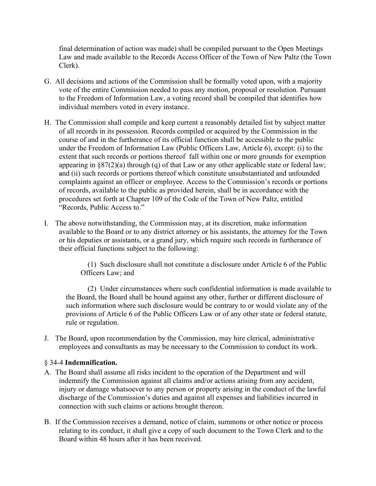final determination of action was made) shall be compiled pursuant to the Open Meetings Law and made available to the Records Access Officer of the Town of New Paltz (the Town Clerk).

- G. All decisions and actions of the Commission shall be formally voted upon, with a majority vote of the entire Commission needed to pass any motion, proposal or resolution. Pursuant to the Freedom of Information Law, a voting record shall be compiled that identifies how individual members voted in every instance.
- H. The Commission shall compile and keep current a reasonably detailed list by subject matter of all records in its possession. Records compiled or acquired by the Commission in the course of and in the furtherance of its official function shall be accessible to the public under the Freedom of Information Law (Public Officers Law, Article 6), except: (i) to the extent that such records or portions thereof fall within one or more grounds for exemption appearing in §87(2)(a) through (q) of that Law or any other applicable state or federal law; and (ii) such records or portions thereof which constitute unsubstantiated and unfounded complaints against an officer or employee. Access to the Commission's records or portions of records, available to the public as provided herein, shall be in accordance with the procedures set forth at Chapter 109 of the Code of the Town of New Paltz, entitled "Records, Public Access to."
- I. The above notwithstanding, the Commission may, at its discretion, make information available to the Board or to any district attorney or his assistants, the attorney for the Town or his deputies or assistants, or a grand jury, which require such records in furtherance of their official functions subject to the following:

(1) Such disclosure shall not constitute a disclosure under Article 6 of the Public Officers Law; and

(2) Under circumstances where such confidential information is made available to the Board, the Board shall be bound against any other, further or different disclosure of such information where such disclosure would be contrary to or would violate any of the provisions of Article 6 of the Public Officers Law or of any other state or federal statute, rule or regulation.

J. The Board, upon recommendation by the Commission, may hire clerical, administrative employees and consultants as may be necessary to the Commission to conduct its work.

# § 34-4 **Indemnification.**

- A. The Board shall assume all risks incident to the operation of the Department and will indemnify the Commission against all claims and/or actions arising from any accident, injury or damage whatsoever to any person or property arising in the conduct of the lawful discharge of the Commission's duties and against all expenses and liabilities incurred in connection with such claims or actions brought thereon.
- B. If the Commission receives a demand, notice of claim, summons or other notice or process relating to its conduct, it shall give a copy of such document to the Town Clerk and to the Board within 48 hours after it has been received.